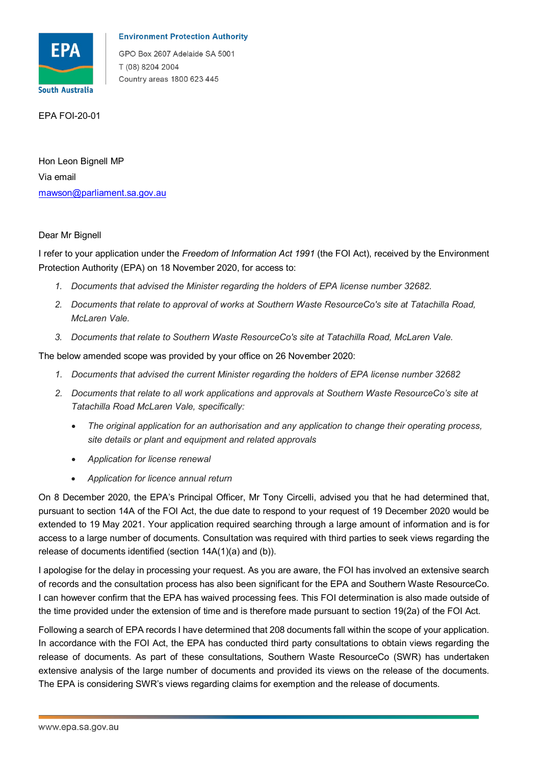

## **Environment Protection Authority**

GPO Box 2607 Adelaide SA 5001 T (08) 8204 2004 Country areas 1800 623 445

EPA FOI-20-01

<u>mawson@parliament.sa.gov.au</u><br>Dear Mr Bignell Hon Leon Bignell MP Via email

 Protection Authority (EPA) on 18 November 2020, for access to: I refer to your application under the *Freedom of Information Act 1991* (the FOI Act), received by the Environment

- *1. Documents that advised the Minister regarding the holders of EPA license number 32682.*
- *2. Documents that relate to approval of works at Southern Waste ResourceCo's site at Tatachilla Road, McLaren Vale.*
- *3. Documents that relate to Southern Waste ResourceCo's site at Tatachilla Road, McLaren Vale.*

The below amended scope was provided by your office on 26 November 2020:

- *1. Documents that advised the current Minister regarding the holders of EPA license number 32682*
- *2. Documents that relate to all work applications and approvals at Southern Waste ResourceCo's site at Tatachilla Road McLaren Vale, specifically:* 
	- *The original application for an authorisation and any application to change their operating process, site details or plant and equipment and related approvals*
	- *Application for license renewal*
	- *Application for licence annual return*

 On 8 December 2020, the EPA's Principal Officer, Mr Tony Circelli, advised you that he had determined that, pursuant to section 14A of the FOI Act, the due date to respond to your request of 19 December 2020 would be extended to 19 May 2021. Your application required searching through a large amount of information and is for access to a large number of documents. Consultation was required with third parties to seek views regarding the release of documents identified (section 14A(1)(a) and (b)).

 I apologise for the delay in processing your request. As you are aware, the FOI has involved an extensive search of records and the consultation process has also been significant for the EPA and Southern Waste ResourceCo. I can however confirm that the EPA has waived processing fees. This FOI determination is also made outside of the time provided under the extension of time and is therefore made pursuant to section 19(2a) of the FOI Act.

 The EPA is considering SWR's views regarding claims for exemption and the release of documents. Following a search of EPA records I have determined that 208 documents fall within the scope of your application. In accordance with the FOI Act, the EPA has conducted third party consultations to obtain views regarding the release of documents. As part of these consultations, Southern Waste ResourceCo (SWR) has undertaken extensive analysis of the large number of documents and provided its views on the release of the documents.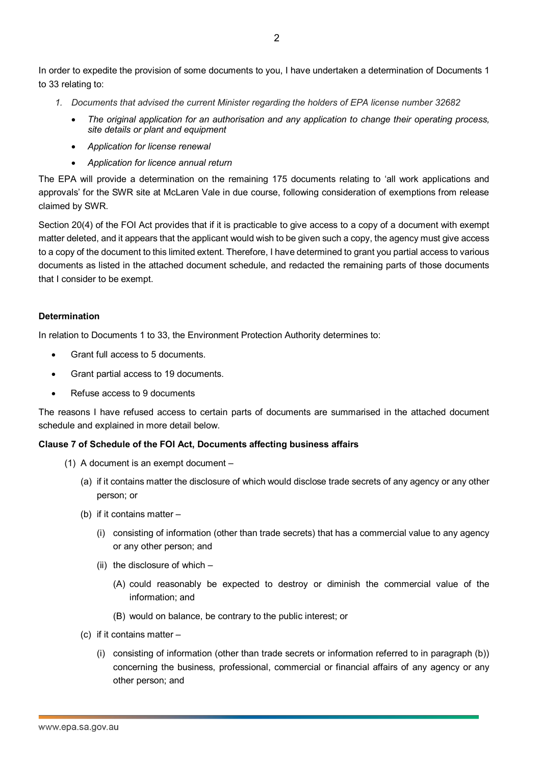to 33 relating to: In order to expedite the provision of some documents to you, I have undertaken a determination of Documents 1

- *1. Documents that advised the current Minister regarding the holders of EPA license number 32682* 
	- *The original application for an authorisation and any application to change their operating process, site details or plant and equipment*
	- *Application for license renewal*
	- *Application for licence annual return*

 approvals' for the SWR site at McLaren Vale in due course, following consideration of exemptions from release The EPA will provide a determination on the remaining 175 documents relating to 'all work applications and claimed by SWR.

 Section 20(4) of the FOI Act provides that if it is practicable to give access to a copy of a document with exempt documents as listed in the attached document schedule, and redacted the remaining parts of those documents matter deleted, and it appears that the applicant would wish to be given such a copy, the agency must give access to a copy of the document to this limited extent. Therefore, I have determined to grant you partial access to various that I consider to be exempt.

## **Determination**

In relation to Documents 1 to 33, the Environment Protection Authority determines to:

- Grant full access to 5 documents.
- Grant partial access to 19 documents.
- Refuse access to 9 documents

The reasons I have refused access to certain parts of documents are summarised in the attached document schedule and explained in more detail below.

## **Clause 7 of Schedule of the FOI Act, Documents affecting business affairs**

- (1) A document is an exempt document
	- (a) if it contains matter the disclosure of which would disclose trade secrets of any agency or any other person; or
	- (b) if it contains matter
		- (i) consisting of information (other than trade secrets) that has a commercial value to any agency or any other person; and
		- (ii) the disclosure of which
			- (A) could reasonably be expected to destroy or diminish the commercial value of the information; and
			- (B) would on balance, be contrary to the public interest; or
	- (c) if it contains matter
		- (i) consisting of information (other than trade secrets or information referred to in paragraph (b)) concerning the business, professional, commercial or financial affairs of any agency or any other person; and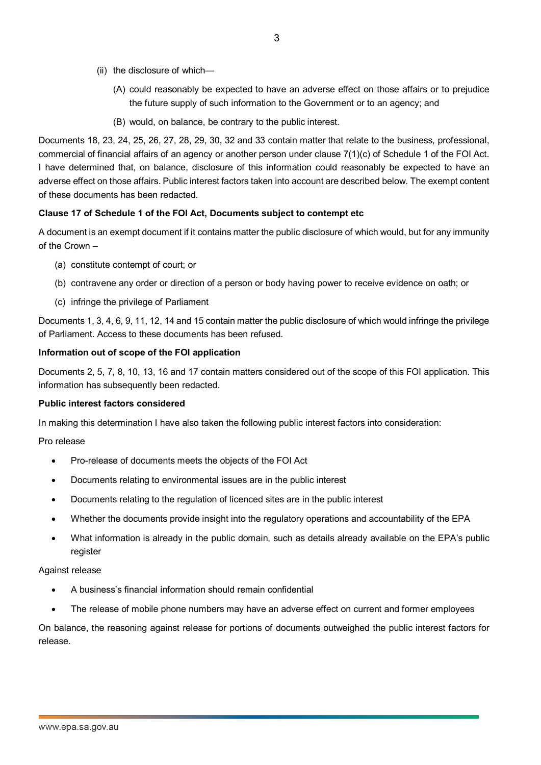- (ii) the disclosure of which—
	- (A) could reasonably be expected to have an adverse effect on those affairs or to prejudice the future supply of such information to the Government or to an agency; and
	- (B) would, on balance, be contrary to the public interest.

 Documents 18, 23, 24, 25, 26, 27, 28, 29, 30, 32 and 33 contain matter that relate to the business, professional, commercial of financial affairs of an agency or another person under clause 7(1)(c) of Schedule 1 of the FOI Act. I have determined that, on balance, disclosure of this information could reasonably be expected to have an adverse effect on those affairs. Public interest factors taken into account are described below. The exempt content of these documents has been redacted.

## **Clause 17 of Schedule 1 of the FOI Act, Documents subject to contempt etc**

 A document is an exempt document if it contains matter the public disclosure of which would, but for any immunity of the Crown –

- (a) constitute contempt of court; or
- (b) contravene any order or direction of a person or body having power to receive evidence on oath; or
- (c) infringe the privilege of Parliament

Documents 1, 3, 4, 6, 9, 11, 12, 14 and 15 contain matter the public disclosure of which would infringe the privilege of Parliament. Access to these documents has been refused.

# **Information out of scope of the FOI application**

Documents 2, 5, 7, 8, 10, 13, 16 and 17 contain matters considered out of the scope of this FOI application. This information has subsequently been redacted.

# **Public interest factors considered**

In making this determination I have also taken the following public interest factors into consideration:

## Pro release

- Pro-release of documents meets the objects of the FOI Act
- Documents relating to environmental issues are in the public interest
- Documents relating to the regulation of licenced sites are in the public interest
- Whether the documents provide insight into the regulatory operations and accountability of the EPA
- • What information is already in the public domain, such as details already available on the EPA's public register

## Against release

- A business's financial information should remain confidential
- The release of mobile phone numbers may have an adverse effect on current and former employees

 On balance, the reasoning against release for portions of documents outweighed the public interest factors for release.